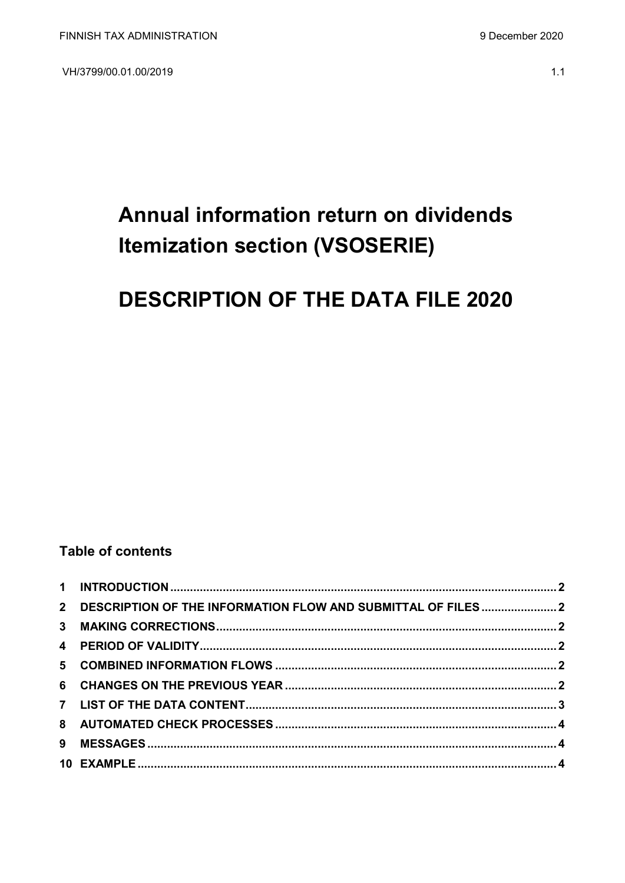VH/3799/00.01.00/2019

# Annual information return on dividends **Itemization section (VSOSERIE)**

## **DESCRIPTION OF THE DATA FILE 2020**

## **Table of contents**

| 2 DESCRIPTION OF THE INFORMATION FLOW AND SUBMITTAL OF FILES  2 |  |
|-----------------------------------------------------------------|--|
|                                                                 |  |
|                                                                 |  |
|                                                                 |  |
|                                                                 |  |
|                                                                 |  |
|                                                                 |  |
|                                                                 |  |
|                                                                 |  |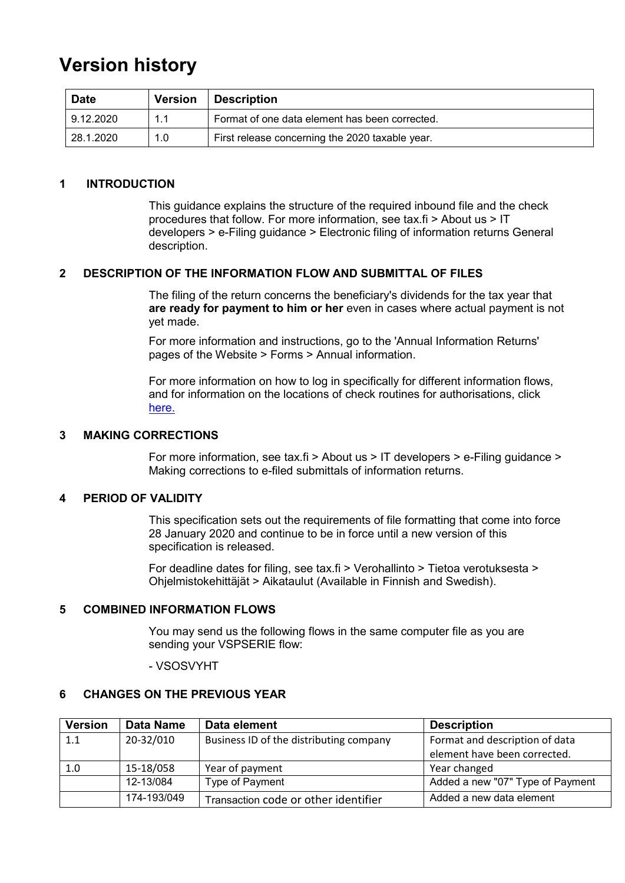## **Version history**

| <b>Date</b> | <b>Version</b> | <b>Description</b>                              |
|-------------|----------------|-------------------------------------------------|
| 9.12.2020   | 1.1            | Format of one data element has been corrected.  |
| 128.1.2020  | 1.0            | First release concerning the 2020 taxable year. |

## <span id="page-1-0"></span>**1 INTRODUCTION**

This guidance explains the structure of the required inbound file and the check procedures that follow. For more information, see tax.fi > About us > IT developers > e-Filing guidance > Electronic filing of information returns General description.

## <span id="page-1-1"></span>**2 DESCRIPTION OF THE INFORMATION FLOW AND SUBMITTAL OF FILES**

The filing of the return concerns the beneficiary's dividends for the tax year that **are ready for payment to him or her** even in cases where actual payment is not yet made.

For more information and instructions, go to the 'Annual Information Returns' pages of the Website > Forms > Annual information.

For more information on how to log in specifically for different information flows, and for information on the locations of check routines for authorisations, click [here.](https://www.ilmoitin.fi/webtamo/sivut/IlmoituslajiRoolit?kieli=en&tv=VSOSERIE)

## <span id="page-1-2"></span>**3 MAKING CORRECTIONS**

For more information, see tax.fi > About us > IT developers > e-Filing guidance > Making corrections to e-filed submittals of information returns.

## <span id="page-1-3"></span>**4 PERIOD OF VALIDITY**

This specification sets out the requirements of file formatting that come into force 28 January 2020 and continue to be in force until a new version of this specification is released.

For deadline dates for filing, see tax.fi > Verohallinto > Tietoa verotuksesta > Ohjelmistokehittäjät > Aikataulut (Available in Finnish and Swedish).

#### <span id="page-1-4"></span>**5 COMBINED INFORMATION FLOWS**

You may send us the following flows in the same computer file as you are sending your VSPSERIE flow:

#### - VSOSVYHT

## <span id="page-1-5"></span>**6 CHANGES ON THE PREVIOUS YEAR**

| <b>Version</b> | Data Name   | Data element                            | <b>Description</b>               |
|----------------|-------------|-----------------------------------------|----------------------------------|
| 1.1            | 20-32/010   | Business ID of the distributing company | Format and description of data   |
|                |             |                                         | element have been corrected.     |
| 1.0            | 15-18/058   | Year of payment                         | Year changed                     |
|                | 12-13/084   | Type of Payment                         | Added a new "07" Type of Payment |
|                | 174-193/049 | Transaction code or other identifier    | Added a new data element         |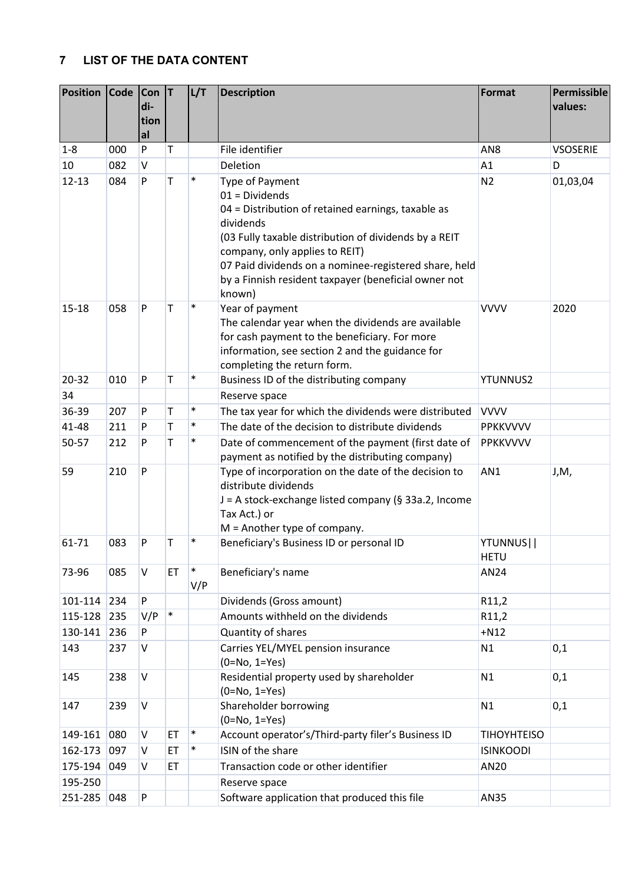## <span id="page-2-0"></span>**7 LIST OF THE DATA CONTENT**

| <b>Position</b> | <b>Code</b> | Con<br>di- | IТ     | L/T           | <b>Description</b>                                                                                                                                                                                                                                                                                                           | <b>Format</b>            | Permissible<br>values: |
|-----------------|-------------|------------|--------|---------------|------------------------------------------------------------------------------------------------------------------------------------------------------------------------------------------------------------------------------------------------------------------------------------------------------------------------------|--------------------------|------------------------|
|                 |             | tion<br>al |        |               |                                                                                                                                                                                                                                                                                                                              |                          |                        |
| $1 - 8$         | 000         | ${\sf P}$  | Τ      |               | File identifier                                                                                                                                                                                                                                                                                                              | AN <sub>8</sub>          | <b>VSOSERIE</b>        |
| 10              | 082         | $\vee$     |        |               | Deletion                                                                                                                                                                                                                                                                                                                     | A1                       | D                      |
| $12 - 13$       | 084         | P          | Т      | $\ast$        | Type of Payment<br>$01 = Dividends$<br>04 = Distribution of retained earnings, taxable as<br>dividends<br>(03 Fully taxable distribution of dividends by a REIT<br>company, only applies to REIT)<br>07 Paid dividends on a nominee-registered share, held<br>by a Finnish resident taxpayer (beneficial owner not<br>known) | N <sub>2</sub>           | 01,03,04               |
| $15 - 18$       | 058         | P          | Т      | $\ast$        | Year of payment<br>The calendar year when the dividends are available<br>for cash payment to the beneficiary. For more<br>information, see section 2 and the guidance for<br>completing the return form.                                                                                                                     | <b>VVVV</b>              | 2020                   |
| 20-32           | 010         | P          | T      | $\ast$        | Business ID of the distributing company                                                                                                                                                                                                                                                                                      | <b>YTUNNUS2</b>          |                        |
| 34              |             |            |        |               | Reserve space                                                                                                                                                                                                                                                                                                                |                          |                        |
| 36-39           | 207         | P          | T      | $\ast$        | The tax year for which the dividends were distributed                                                                                                                                                                                                                                                                        | <b>VVVV</b>              |                        |
| 41-48           | 211         | P          | Т      | $\ast$        | The date of the decision to distribute dividends                                                                                                                                                                                                                                                                             | <b>PPKKVVVV</b>          |                        |
| 50-57           | 212         | P          | T      | $\ast$        | Date of commencement of the payment (first date of<br>payment as notified by the distributing company)                                                                                                                                                                                                                       | PPKKVVVV                 |                        |
| 59              | 210         | P          |        |               | Type of incorporation on the date of the decision to<br>distribute dividends<br>J = A stock-exchange listed company (§ 33a.2, Income<br>Tax Act.) or<br>$M =$ Another type of company.                                                                                                                                       | AN1                      | J,M,                   |
| 61-71           | 083         | P          | T      | $\ast$        | Beneficiary's Business ID or personal ID                                                                                                                                                                                                                                                                                     | YTUNNUS  <br><b>HETU</b> |                        |
| 73-96           | 085         | V          | ET     | $\ast$<br>V/P | Beneficiary's name                                                                                                                                                                                                                                                                                                           | AN24                     |                        |
| 101-114 234     |             | P          |        |               | Dividends (Gross amount)                                                                                                                                                                                                                                                                                                     | R11,2                    |                        |
| 115-128         | 235         | V/P        | $\ast$ |               | Amounts withheld on the dividends                                                                                                                                                                                                                                                                                            | R11,2                    |                        |
| 130-141         | 236         | P          |        |               | Quantity of shares                                                                                                                                                                                                                                                                                                           | $+N12$                   |                        |
| 143             | 237         | $\sf V$    |        |               | Carries YEL/MYEL pension insurance<br>$(0=No, 1=Yes)$                                                                                                                                                                                                                                                                        | N1                       | 0,1                    |
| 145             | 238         | $\sf V$    |        |               | Residential property used by shareholder<br>$(0=No, 1=Yes)$                                                                                                                                                                                                                                                                  | N1                       | 0,1                    |
| 147             | 239         | $\sf V$    |        |               | Shareholder borrowing<br>$(0=No, 1=Yes)$                                                                                                                                                                                                                                                                                     | N1                       | 0,1                    |
| 149-161         | 080         | V          | ET     | $\ast$        | Account operator's/Third-party filer's Business ID                                                                                                                                                                                                                                                                           | <b>TIHOYHTEISO</b>       |                        |
| 162-173         | 097         | V          | ET     | $\ast$        | ISIN of the share                                                                                                                                                                                                                                                                                                            | <b>ISINKOODI</b>         |                        |
| 175-194         | 049         | V          | ET     |               | Transaction code or other identifier                                                                                                                                                                                                                                                                                         | AN20                     |                        |
| 195-250         |             |            |        |               | Reserve space                                                                                                                                                                                                                                                                                                                |                          |                        |
| 251-285         | 048         | P          |        |               | Software application that produced this file                                                                                                                                                                                                                                                                                 | AN35                     |                        |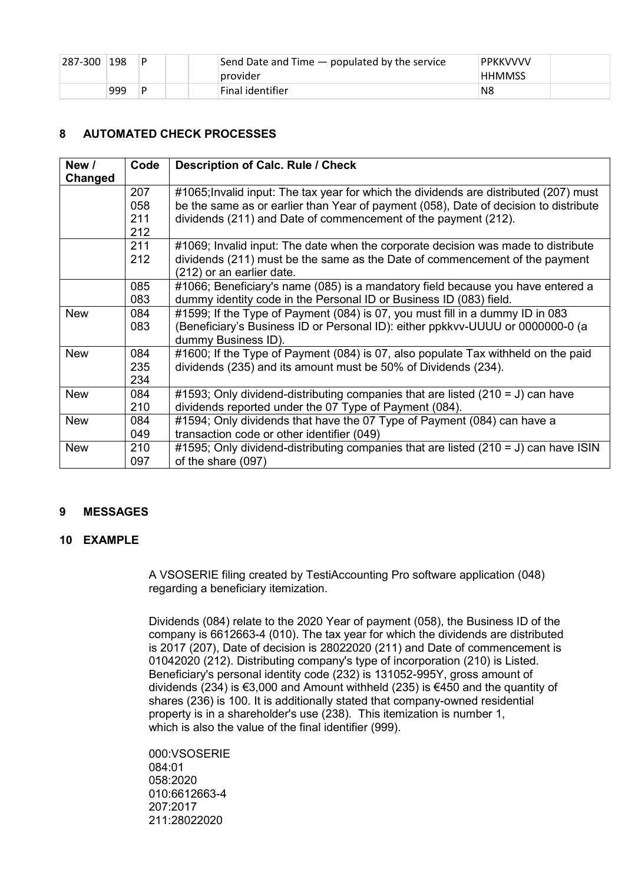| 287-300 | 198 | D | Send Date and Time — populated by the service<br>provider | PPKKVVVV<br><b>HHMMSS</b> |
|---------|-----|---|-----------------------------------------------------------|---------------------------|
|         | 999 | D | Final identifier                                          | N <sub>8</sub>            |

## <span id="page-3-0"></span>**8 AUTOMATED CHECK PROCESSES**

| New /<br>Changed | Code | <b>Description of Calc. Rule / Check</b>                                              |
|------------------|------|---------------------------------------------------------------------------------------|
|                  | 207  | #1065; Invalid input: The tax year for which the dividends are distributed (207) must |
|                  | 058  | be the same as or earlier than Year of payment (058), Date of decision to distribute  |
|                  | 211  | dividends (211) and Date of commencement of the payment (212).                        |
|                  | 212  |                                                                                       |
|                  | 211  | #1069; Invalid input: The date when the corporate decision was made to distribute     |
|                  | 212  | dividends (211) must be the same as the Date of commencement of the payment           |
|                  |      | (212) or an earlier date.                                                             |
|                  | 085  | #1066; Beneficiary's name (085) is a mandatory field because you have entered a       |
|                  | 083  | dummy identity code in the Personal ID or Business ID (083) field.                    |
| <b>New</b>       | 084  | #1599; If the Type of Payment (084) is 07, you must fill in a dummy ID in 083         |
|                  | 083  | (Beneficiary's Business ID or Personal ID): either ppkkvv-UUUU or 0000000-0 (a        |
|                  |      | dummy Business ID).                                                                   |
| <b>New</b>       | 084  | #1600; If the Type of Payment (084) is 07, also populate Tax withheld on the paid     |
|                  | 235  | dividends (235) and its amount must be 50% of Dividends (234).                        |
|                  | 234  |                                                                                       |
| <b>New</b>       | 084  | #1593; Only dividend-distributing companies that are listed (210 = J) can have        |
|                  | 210  | dividends reported under the 07 Type of Payment (084).                                |
| <b>New</b>       | 084  | #1594; Only dividends that have the 07 Type of Payment (084) can have a               |
|                  | 049  | transaction code or other identifier (049)                                            |
| <b>New</b>       | 210  | #1595; Only dividend-distributing companies that are listed $(210 = J)$ can have ISIN |
|                  | 097  | of the share (097)                                                                    |

## <span id="page-3-1"></span>**9 MESSAGES**

## <span id="page-3-2"></span>**10 EXAMPLE**

A VSOSERIE filing created by TestiAccounting Pro software application (048) regarding a beneficiary itemization.

Dividends (084) relate to the 2020 Year of payment (058), the Business ID of the company is 6612663-4 (010). The tax year for which the dividends are distributed is 2017 (207), Date of decision is 28022020 (211) and Date of commencement is 01042020 (212). Distributing company's type of incorporation (210) is Listed. Beneficiary's personal identity code (232) is 131052-995Y, gross amount of dividends (234) is €3,000 and Amount withheld (235) is €450 and the quantity of shares (236) is 100. It is additionally stated that company-owned residential property is in a shareholder's use (238). This itemization is number 1, which is also the value of the final identifier (999).

000:VSOSERIE 084:01 058:2020 010:6612663-4 207:2017 211:28022020